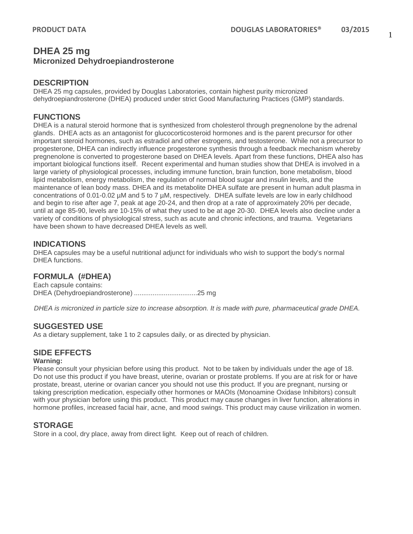## **DHEA 25 mg Micronized Dehydroepiandrosterone**

### **DESCRIPTION**

DHEA 25 mg capsules, provided by Douglas Laboratories, contain highest purity micronized dehydroepiandrosterone (DHEA) produced under strict Good Manufacturing Practices (GMP) standards.

## **FUNCTIONS**

DHEA is a natural steroid hormone that is synthesized from cholesterol through pregnenolone by the adrenal glands. DHEA acts as an antagonist for glucocorticosteroid hormones and is the parent precursor for other important steroid hormones, such as estradiol and other estrogens, and testosterone. While not a precursor to progesterone, DHEA can indirectly influence progesterone synthesis through a feedback mechanism whereby pregnenolone is converted to progesterone based on DHEA levels. Apart from these functions, DHEA also has important biological functions itself. Recent experimental and human studies show that DHEA is involved in a large variety of physiological processes, including immune function, brain function, bone metabolism, blood lipid metabolism, energy metabolism, the regulation of normal blood sugar and insulin levels, and the maintenance of lean body mass. DHEA and its metabolite DHEA sulfate are present in human adult plasma in concentrations of 0.01-0.02 µM and 5 to 7 µM, respectively. DHEA sulfate levels are low in early childhood and begin to rise after age 7, peak at age 20-24, and then drop at a rate of approximately 20% per decade, until at age 85-90, levels are 10-15% of what they used to be at age 20-30. DHEA levels also decline under a variety of conditions of physiological stress, such as acute and chronic infections, and trauma. Vegetarians have been shown to have decreased DHEA levels as well.

## **INDICATIONS**

DHEA capsules may be a useful nutritional adjunct for individuals who wish to support the body's normal DHEA functions.

## **FORMULA (#DHEA)**

Each capsule contains: DHEA (Dehydroepiandrosterone) ..................................25 mg

*DHEA is micronized in particle size to increase absorption. It is made with pure, pharmaceutical grade DHEA.* 

## **SUGGESTED USE**

As a dietary supplement, take 1 to 2 capsules daily, or as directed by physician.

## **SIDE EFFECTS**

#### **Warning:**

Please consult your physician before using this product. Not to be taken by individuals under the age of 18. Do not use this product if you have breast, uterine, ovarian or prostate problems. If you are at risk for or have prostate, breast, uterine or ovarian cancer you should not use this product. If you are pregnant, nursing or taking prescription medication, especially other hormones or MAOIs (Monoamine Oxidase Inhibitors) consult with your physician before using this product. This product may cause changes in liver function, alterations in hormone profiles, increased facial hair, acne, and mood swings. This product may cause virilization in women.

## **STORAGE**

Store in a cool, dry place, away from direct light. Keep out of reach of children.